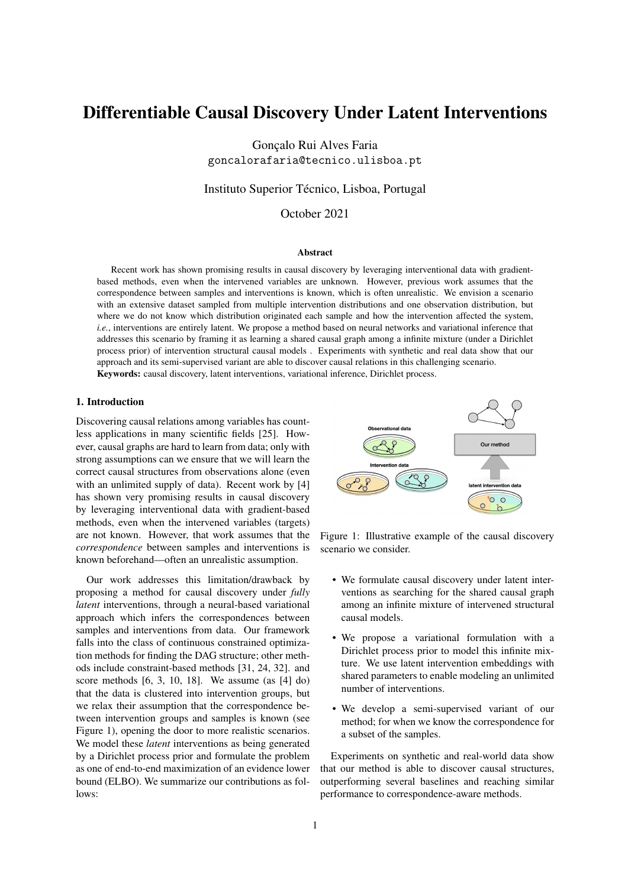# Differentiable Causal Discovery Under Latent Interventions

Gonçalo Rui Alves Faria goncalorafaria@tecnico.ulisboa.pt

Instituto Superior Técnico, Lisboa, Portugal

October 2021

#### Abstract

Recent work has shown promising results in causal discovery by leveraging interventional data with gradientbased methods, even when the intervened variables are unknown. However, previous work assumes that the correspondence between samples and interventions is known, which is often unrealistic. We envision a scenario with an extensive dataset sampled from multiple intervention distributions and one observation distribution, but where we do not know which distribution originated each sample and how the intervention affected the system, *i.e.*, interventions are entirely latent. We propose a method based on neural networks and variational inference that addresses this scenario by framing it as learning a shared causal graph among a infinite mixture (under a Dirichlet process prior) of intervention structural causal models . Experiments with synthetic and real data show that our approach and its semi-supervised variant are able to discover causal relations in this challenging scenario.

Keywords: causal discovery, latent interventions, variational inference, Dirichlet process.

# 1. Introduction

Discovering causal relations among variables has countless applications in many scientific fields [25]. However, causal graphs are hard to learn from data; only with strong assumptions can we ensure that we will learn the correct causal structures from observations alone (even with an unlimited supply of data). Recent work by [4] has shown very promising results in causal discovery by leveraging interventional data with gradient-based methods, even when the intervened variables (targets) are not known. However, that work assumes that the *correspondence* between samples and interventions is known beforehand—often an unrealistic assumption.

Our work addresses this limitation/drawback by proposing a method for causal discovery under *fully latent* interventions, through a neural-based variational approach which infers the correspondences between samples and interventions from data. Our framework falls into the class of continuous constrained optimization methods for finding the DAG structure; other methods include constraint-based methods [31, 24, 32]. and score methods [6, 3, 10, 18]. We assume (as [4] do) that the data is clustered into intervention groups, but we relax their assumption that the correspondence between intervention groups and samples is known (see Figure 1), opening the door to more realistic scenarios. We model these *latent* interventions as being generated by a Dirichlet process prior and formulate the problem as one of end-to-end maximization of an evidence lower bound (ELBO). We summarize our contributions as follows:



Figure 1: Illustrative example of the causal discovery scenario we consider.

- We formulate causal discovery under latent interventions as searching for the shared causal graph among an infinite mixture of intervened structural causal models.
- We propose a variational formulation with a Dirichlet process prior to model this infinite mixture. We use latent intervention embeddings with shared parameters to enable modeling an unlimited number of interventions.
- We develop a semi-supervised variant of our method; for when we know the correspondence for a subset of the samples.

Experiments on synthetic and real-world data show that our method is able to discover causal structures, outperforming several baselines and reaching similar performance to correspondence-aware methods.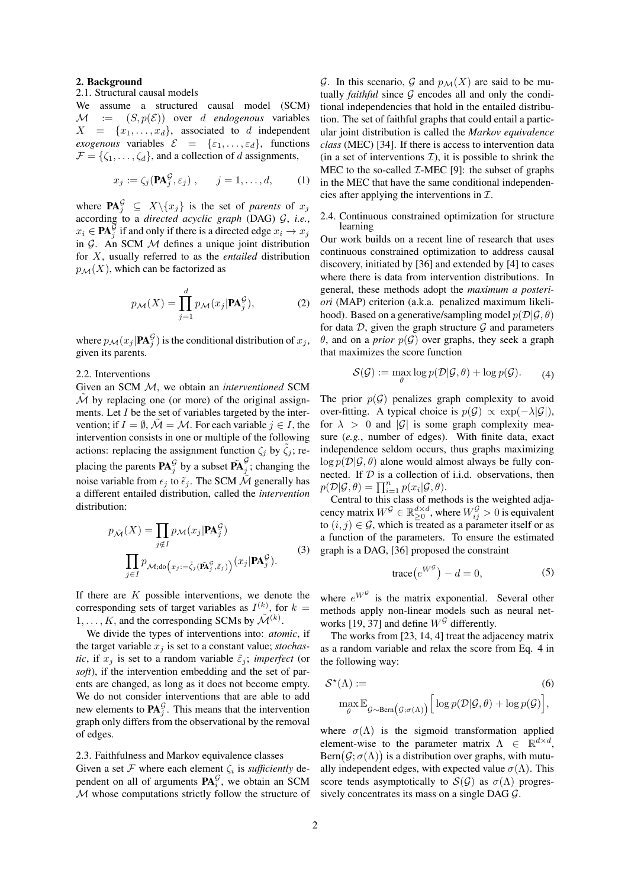#### 2. Background

# 2.1. Structural causal models

We assume a structured causal model (SCM)  $M := (S, p(\mathcal{E}))$  over d *endogenous* variables  $X = \{x_1, \ldots, x_d\}$ , associated to d independent *exogenous* variables  $\mathcal{E} = {\varepsilon_1, \ldots, \varepsilon_d}$ , functions  $\mathcal{F} = \{\zeta_1, \ldots, \zeta_d\}$ , and a collection of d assignments,

$$
x_j := \zeta_j(\mathbf{P}\mathbf{A}_j^{\mathcal{G}}, \varepsilon_j), \qquad j = 1, \dots, d,
$$
 (1)

where  $\mathbf{PA}_j^{\mathcal{G}} \subseteq X \backslash \{x_j\}$  is the set of *parents* of  $x_j$ according to a *directed acyclic graph* (DAG) G, *i.e.*,  $x_i \in \mathbf{PA}_j^{\mathcal{\vec{G}}}$  if and only if there is a directed edge  $x_i \rightarrow x_j$ in  $G$ . An SCM  $M$  defines a unique joint distribution for X, usually referred to as the *entailed* distribution  $p_{\mathcal{M}}(X)$ , which can be factorized as

$$
p_{\mathcal{M}}(X) = \prod_{j=1}^{d} p_{\mathcal{M}}(x_j | \mathbf{PA}_j^{\mathcal{G}}), \tag{2}
$$

where  $p_{\mathcal{M}}(x_j | \mathbf{PA}_j^{\mathcal{G}})$  is the conditional distribution of  $x_j$ , given its parents.

# 2.2. Interventions

Given an SCM M, we obtain an *interventioned* SCM  $\overline{\mathcal{M}}$  by replacing one (or more) of the original assignments. Let  $I$  be the set of variables targeted by the intervention; if  $I = \emptyset$ ,  $\mathcal{M} = \mathcal{M}$ . For each variable  $j \in I$ , the intervention consists in one or multiple of the following actions: replacing the assignment function  $\zeta_i$  by  $\tilde{\zeta}_i$ ; replacing the parents  $\mathbf{PA}_{j}^{\mathcal{G}}$  by a subset  $\tilde{\mathbf{PA}}_{j}^{\mathcal{G}}$  $\frac{3}{j}$ ; changing the noise variable from  $\epsilon_j$  to  $\tilde{\epsilon}_j$ . The SCM M generally has a different entailed distribution, called the *intervention* distribution:

$$
p_{\tilde{\mathcal{M}}}(X) = \prod_{j \notin I} p_{\mathcal{M}}(x_j | \mathbf{PA}_j^{\mathcal{G}})
$$

$$
\prod_{j \in I} p_{\mathcal{M};\text{do}}(x_j := \tilde{\zeta}_j(\tilde{\mathbf{PA}}_j^{\mathcal{G}}, \tilde{\varepsilon}_j)) (x_j | \mathbf{PA}_j^{\mathcal{G}}).
$$
(3)

If there are  $K$  possible interventions, we denote the corresponding sets of target variables as  $I^{(k)}$ , for  $k =$  $1, \ldots, K$ , and the corresponding SCMs by  $\tilde{\mathcal{M}}^{(k)}$ .

We divide the types of interventions into: *atomic*, if the target variable  $x_j$  is set to a constant value; *stochastic*, if  $x_j$  is set to a random variable  $\tilde{\varepsilon}_j$ ; *imperfect* (or *soft*), if the intervention embedding and the set of parents are changed, as long as it does not become empty. We do not consider interventions that are able to add new elements to  $\mathbf{PA}_{j}^{\mathcal{G}}$ . This means that the intervention graph only differs from the observational by the removal of edges.

## 2.3. Faithfulness and Markov equivalence classes

Given a set  $\mathcal F$  where each element  $\zeta_i$  is *sufficiently* dependent on all of arguments  $\mathbf{PA}_i^{\mathcal{G}}$ , we obtain an SCM M whose computations strictly follow the structure of

G. In this scenario, G and  $p_{\mathcal{M}}(X)$  are said to be mutually *faithful* since  $G$  encodes all and only the conditional independencies that hold in the entailed distribution. The set of faithful graphs that could entail a particular joint distribution is called the *Markov equivalence class* (MEC) [34]. If there is access to intervention data (in a set of interventions  $\mathcal{I}$ ), it is possible to shrink the MEC to the so-called  $\mathcal{I}\text{-MEC}$  [9]: the subset of graphs in the MEC that have the same conditional independencies after applying the interventions in  $\mathcal{I}$ .

#### 2.4. Continuous constrained optimization for structure learning

Our work builds on a recent line of research that uses continuous constrained optimization to address causal discovery, initiated by [36] and extended by [4] to cases where there is data from intervention distributions. In general, these methods adopt the *maximum a posteriori* (MAP) criterion (a.k.a. penalized maximum likelihood). Based on a generative/sampling model  $p(\mathcal{D}|\mathcal{G}, \theta)$ for data  $D$ , given the graph structure  $G$  and parameters  $\theta$ , and on a *prior*  $p(G)$  over graphs, they seek a graph that maximizes the score function

$$
\mathcal{S}(\mathcal{G}) := \max_{\theta} \log p(\mathcal{D}|\mathcal{G}, \theta) + \log p(\mathcal{G}). \tag{4}
$$

The prior  $p(G)$  penalizes graph complexity to avoid over-fitting. A typical choice is  $p(G) \propto \exp(-\lambda |G|)$ , for  $\lambda > 0$  and |G| is some graph complexity measure (*e.g.*, number of edges). With finite data, exact independence seldom occurs, thus graphs maximizing  $\log p(\mathcal{D}|\mathcal{G}, \theta)$  alone would almost always be fully connected. If  $D$  is a collection of i.i.d. observations, then  $p(\mathcal{D}|\mathcal{G}, \theta) = \prod_{i=1}^n p(x_i|\mathcal{G}, \theta).$ 

Central to this class of methods is the weighted adjacency matrix  $W^{\mathcal{G}} \in \mathbb{R}_{\geq 0}^{d \times d}$ , where  $W_{ij}^{\mathcal{G}} > 0$  is equivalent to  $(i, j) \in \mathcal{G}$ , which is treated as a parameter itself or as a function of the parameters. To ensure the estimated graph is a DAG, [36] proposed the constraint

$$
trace(e^{W^{\mathcal{G}}}) - d = 0, \tag{5}
$$

where  $e^{W^{\mathcal{G}}}$  is the matrix exponential. Several other methods apply non-linear models such as neural networks [19, 37] and define  $W^{\mathcal{G}}$  differently.

The works from [23, 14, 4] treat the adjacency matrix as a random variable and relax the score from Eq. 4 in the following way:

$$
\mathcal{S}^{\star}(\Lambda) := \text{max}_{\theta} \mathbb{E}_{\mathcal{G} \sim \text{Bern}\left(\mathcal{G}; \sigma(\Lambda)\right)} \left[ \log p(\mathcal{D}|\mathcal{G}, \theta) + \log p(\mathcal{G}) \right],
$$
\n(6)

where  $\sigma(\Lambda)$  is the sigmoid transformation applied element-wise to the parameter matrix  $\Lambda \in \mathbb{R}^{d \times d}$ ,  $\text{Bern}(\mathcal{G}; \sigma(\Lambda))$  is a distribution over graphs, with mutually independent edges, with expected value  $\sigma(\Lambda)$ . This score tends asymptotically to  $S(G)$  as  $\sigma(\Lambda)$  progressively concentrates its mass on a single DAG G.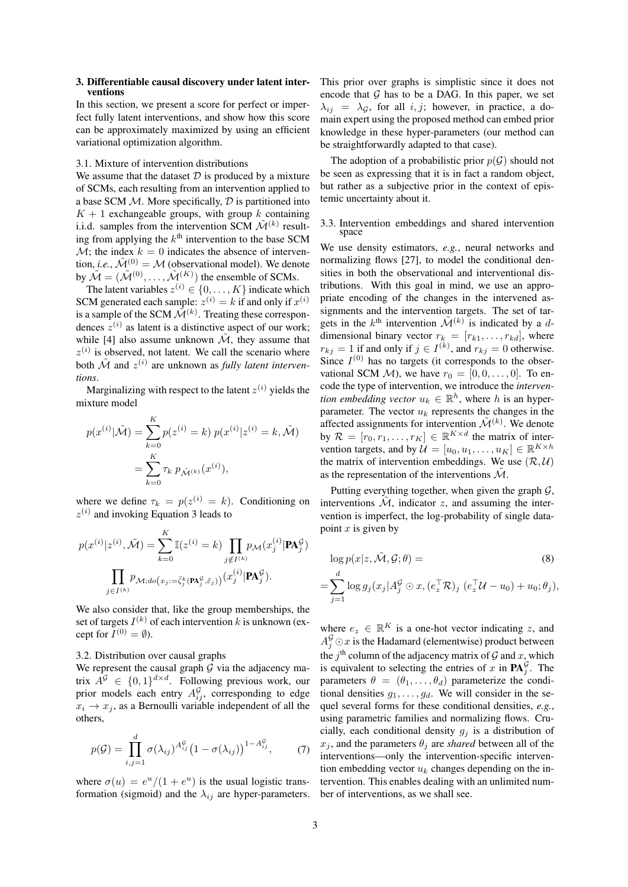#### 3. Differentiable causal discovery under latent interventions

In this section, we present a score for perfect or imperfect fully latent interventions, and show how this score can be approximately maximized by using an efficient variational optimization algorithm.

## 3.1. Mixture of intervention distributions

We assume that the dataset  $D$  is produced by a mixture of SCMs, each resulting from an intervention applied to a base SCM  $M$ . More specifically,  $D$  is partitioned into  $K + 1$  exchangeable groups, with group k containing i.i.d. samples from the intervention SCM  $\tilde{\mathcal{M}}^{(k)}$  resulting from applying the  $k^{\text{th}}$  intervention to the base SCM  $\mathcal{M}$ ; the index  $k = 0$  indicates the absence of intervention, *i.e.*,  $\tilde{\mathcal{M}}^{(0)} = \mathcal{M}$  (observational model). We denote by  $\tilde{\mathcal{M}} = (\tilde{\mathcal{M}}^{(0)}, \dots, \tilde{\mathcal{M}}^{(K)})$  the ensemble of SCMs.

The latent variables  $z^{(i)} \in \{0, \ldots, K\}$  indicate which SCM generated each sample:  $z^{(i)} = k$  if and only if  $x^{(i)}$ is a sample of the SCM  $\mathcal{\hat{M}}^{(k)}$ . Treating these correspondences  $z^{(i)}$  as latent is a distinctive aspect of our work; while [4] also assume unknown  $\tilde{\mathcal{M}}$ , they assume that  $z^{(i)}$  is observed, not latent. We call the scenario where both  $\tilde{\mathcal{M}}$  and  $z^{(i)}$  are unknown as *fully latent interventions*.

Marginalizing with respect to the latent  $z^{(i)}$  yields the mixture model

$$
p(x^{(i)}|\tilde{\mathcal{M}}) = \sum_{k=0}^{K} p(z^{(i)} = k) p(x^{(i)}|z^{(i)} = k, \tilde{\mathcal{M}})
$$

$$
= \sum_{k=0}^{K} \tau_k p_{\tilde{\mathcal{M}}^{(k)}}(x^{(i)}),
$$

where we define  $\tau_k = p(z^{(i)} = k)$ . Conditioning on  $z^{(i)}$  and invoking Equation 3 leads to

$$
p(x^{(i)}|z^{(i)},\tilde{\mathcal{M}}) = \sum_{k=0}^{K} \mathbb{I}(z^{(i)} = k) \prod_{j \notin I^{(k)}} p_{\mathcal{M}}(x_j^{(i)} | \mathbf{P} \mathbf{A}_{j}^{\mathcal{G}})
$$

$$
\prod_{j \in I^{(k)}} p_{\mathcal{M};do}(x_j;=\tilde{\zeta}_j^k(\mathbf{P} \mathbf{A}_{j}^{\mathcal{G}},\tilde{\zeta}_j)) (x_j^{(i)} | \mathbf{P} \mathbf{A}_{j}^{\mathcal{G}}).
$$

We also consider that, like the group memberships, the set of targets  $I^{(k)}$  of each intervention k is unknown (except for  $I^{(0)} = \emptyset$ ).

#### 3.2. Distribution over causal graphs

We represent the causal graph  $G$  via the adjacency matrix  $A^{\mathcal{G}} \in \{0,1\}^{d \times d}$ . Following previous work, our prior models each entry  $A_{ij}^{\mathcal{G}}$ , corresponding to edge  $x_i \rightarrow x_j$ , as a Bernoulli variable independent of all the others,

$$
p(\mathcal{G}) = \prod_{i,j=1}^{d} \sigma(\lambda_{ij})^{A_{ij}^{\mathcal{G}}} (1 - \sigma(\lambda_{ij}))^{1 - A_{ij}^{\mathcal{G}}}, \qquad (7)
$$

where  $\sigma(u) = e^u/(1 + e^u)$  is the usual logistic transformation (sigmoid) and the  $\lambda_{ij}$  are hyper-parameters. This prior over graphs is simplistic since it does not encode that  $G$  has to be a DAG. In this paper, we set  $\lambda_{ij}$  =  $\lambda_{\mathcal{G}}$ , for all i, j; however, in practice, a domain expert using the proposed method can embed prior knowledge in these hyper-parameters (our method can be straightforwardly adapted to that case).

The adoption of a probabilistic prior  $p(G)$  should not be seen as expressing that it is in fact a random object, but rather as a subjective prior in the context of epistemic uncertainty about it.

#### 3.3. Intervention embeddings and shared intervention space

We use density estimators, *e.g.*, neural networks and normalizing flows [27], to model the conditional densities in both the observational and interventional distributions. With this goal in mind, we use an appropriate encoding of the changes in the intervened assignments and the intervention targets. The set of targets in the  $k^{\text{th}}$  intervention  $\tilde{\mathcal{M}}^{(k)}$  is indicated by a ddimensional binary vector  $r_k = [r_{k1}, \ldots, r_{kd}]$ , where  $r_{kj} = 1$  if and only if  $j \in I^{(k)}$ , and  $r_{kj} = 0$  otherwise. Since  $I^{(0)}$  has no targets (it corresponds to the observational SCM  $\mathcal{M}$ ), we have  $r_0 = [0, 0, \dots, 0]$ . To encode the type of intervention, we introduce the *intervention embedding vector*  $u_k \in \mathbb{R}^h$ , where h is an hyperparameter. The vector  $u_k$  represents the changes in the affected assignments for intervention  $\tilde{\mathcal{M}}^{(k)}$ . We denote by  $\mathcal{R} = [r_0, r_1, \dots, r_K] \in \mathbb{R}^{K \times d}$  the matrix of intervention targets, and by  $\mathcal{U} = [u_0, u_1, \dots, u_K] \in \mathbb{R}^{K \times h}$ the matrix of intervention embeddings. We use  $(\mathcal{R}, \mathcal{U})$ as the representation of the interventions  $\mathcal{M}$ .

Putting everything together, when given the graph  $\mathcal{G}$ , interventions  $\tilde{\mathcal{M}}$ , indicator z, and assuming the intervention is imperfect, the log-probability of single datapoint  $x$  is given by

$$
\log p(x|z, \tilde{\mathcal{M}}, \mathcal{G}; \theta) =
$$
\n
$$
\sum_{j=1}^{d} \log g_j(x_j|A_j^{\mathcal{G}} \odot x, (e_z^{\top}\mathcal{R})_j (e_z^{\top}\mathcal{U} - u_0) + u_0; \theta_j),
$$
\n(8)

where  $e_z \in \mathbb{R}^K$  is a one-hot vector indicating z, and  $A_j^{\mathcal{G}} \odot x$  is the Hadamard (elementwise) product between the  $j<sup>th</sup>$  column of the adjacency matrix of  $\mathcal G$  and  $x$ , which is equivalent to selecting the entries of x in  $\mathbf{PA}_{j}^{\mathcal{G}}$ . The parameters  $\theta = (\theta_1, \dots, \theta_d)$  parameterize the conditional densities  $g_1, \ldots, g_d$ . We will consider in the sequel several forms for these conditional densities, *e.g.*, using parametric families and normalizing flows. Crucially, each conditional density  $g_i$  is a distribution of  $x_i$ , and the parameters  $\theta_i$  are *shared* between all of the interventions—only the intervention-specific intervention embedding vector  $u_k$  changes depending on the intervention. This enables dealing with an unlimited number of interventions, as we shall see.

=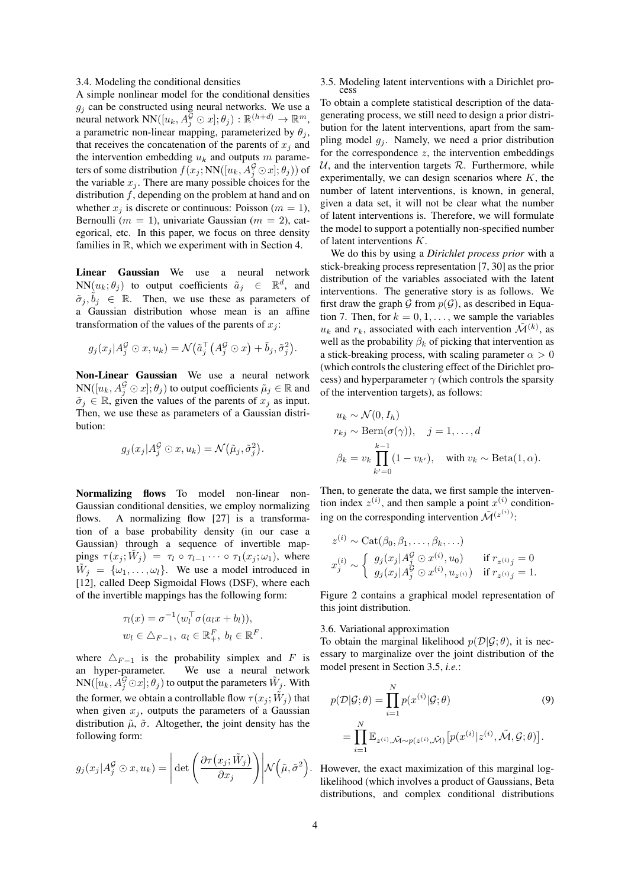3.4. Modeling the conditional densities

A simple nonlinear model for the conditional densities  $g_j$  can be constructed using neural networks. We use a neural network  $NN([u_k, A_j^{\overline{G}} \odot x]; \theta_j) : \mathbb{R}^{(h+d)} \to \mathbb{R}^m$ , a parametric non-linear mapping, parameterized by  $\theta_j$ , that receives the concatenation of the parents of  $x_i$  and the intervention embedding  $u_k$  and outputs m parameters of some distribution  $f(x_j; \mathrm{NN}([u_k, A_j^{\mathcal{G}}\odot x]; \theta_j))$  of the variable  $x_i$ . There are many possible choices for the distribution  $f$ , depending on the problem at hand and on whether  $x_j$  is discrete or continuous: Poisson ( $m = 1$ ), Bernoulli ( $m = 1$ ), univariate Gaussian ( $m = 2$ ), categorical, etc. In this paper, we focus on three density families in R, which we experiment with in Section 4.

Linear Gaussian We use a neural network  $NN(u_k; \theta_j)$  to output coefficients  $\tilde{a}_j \in \mathbb{R}^d$ , and  $\tilde{\sigma}_j, \tilde{b}_j \in \mathbb{R}$ . Then, we use these as parameters of a Gaussian distribution whose mean is an affine transformation of the values of the parents of  $x_i$ :

$$
g_j(x_j|A_j^{\mathcal{G}} \odot x, u_k) = \mathcal{N}(\tilde{a}_j^{\top}(A_j^{\mathcal{G}} \odot x) + \tilde{b}_j, \tilde{\sigma}_j^2).
$$

Non-Linear Gaussian We use a neural network  $NN([u_k, A_j^{\mathcal{G}}\odot x]; \theta_j)$  to output coefficients  $\tilde{\mu}_j\in\mathbb{R}$  and  $\tilde{\sigma}_i \in \mathbb{R}$ , given the values of the parents of  $x_i$  as input. Then, we use these as parameters of a Gaussian distribution:

$$
g_j(x_j|A_j^{\mathcal{G}} \odot x, u_k) = \mathcal{N}(\tilde{\mu}_j, \tilde{\sigma}_j^2).
$$

Normalizing flows To model non-linear non-Gaussian conditional densities, we employ normalizing flows. A normalizing flow [27] is a transformation of a base probability density (in our case a Gaussian) through a sequence of invertible mappings  $\tau(x_j; \tilde{W}_j) = \tau_l \circ \tau_{l-1} \cdots \circ \tau_1(x_j; \omega_1)$ , where  $\tilde{W}_j = {\omega_1, \ldots, \omega_l}$ . We use a model introduced in [12], called Deep Sigmoidal Flows (DSF), where each of the invertible mappings has the following form:

$$
\tau_l(x) = \sigma^{-1}(w_l^\top \sigma(a_l x + b_l)),
$$
  

$$
w_l \in \Delta_{F-1}, \ a_l \in \mathbb{R}_+^F, \ b_l \in \mathbb{R}^F.
$$

where  $\Delta_{F-1}$  is the probability simplex and F is an hyper-parameter. We use a neural network  $NN([u_k, A_j^{\mathcal{G}}\odot x]; \theta_j)$  to output the parameters  $\tilde{W}_j$ . With the former, we obtain a controllable flow  $\tau(x_j; \tilde{W}_j)$  that when given  $x_i$ , outputs the parameters of a Gaussian distribution  $\tilde{\mu}$ ,  $\tilde{\sigma}$ . Altogether, the joint density has the following form:

$$
g_j(x_j|A_j^{\mathcal{G}} \odot x, u_k) = \left| \det \left( \frac{\partial \tau(x_j; \tilde{W}_j)}{\partial x_j} \right) \middle| \mathcal{N}(\tilde{\mu}, \tilde{\sigma}^2) \right|
$$

#### 3.5. Modeling latent interventions with a Dirichlet process

To obtain a complete statistical description of the datagenerating process, we still need to design a prior distribution for the latent interventions, apart from the sampling model  $g_i$ . Namely, we need a prior distribution for the correspondence  $z$ , the intervention embeddings  $U$ , and the intervention targets  $R$ . Furthermore, while experimentally, we can design scenarios where  $K$ , the number of latent interventions, is known, in general, given a data set, it will not be clear what the number of latent interventions is. Therefore, we will formulate the model to support a potentially non-specified number of latent interventions K.

We do this by using a *Dirichlet process prior* with a stick-breaking process representation [7, 30] as the prior distribution of the variables associated with the latent interventions. The generative story is as follows. We first draw the graph G from  $p(G)$ , as described in Equation 7. Then, for  $k = 0, 1, \ldots$ , we sample the variables  $u_k$  and  $r_k$ , associated with each intervention  $\tilde{\mathcal{M}}^{(k)}$ , as well as the probability  $\beta_k$  of picking that intervention as a stick-breaking process, with scaling parameter  $\alpha > 0$ (which controls the clustering effect of the Dirichlet process) and hyperparameter  $\gamma$  (which controls the sparsity of the intervention targets), as follows:

$$
u_k \sim \mathcal{N}(0, I_h)
$$
  
\n
$$
r_{kj} \sim \text{Bern}(\sigma(\gamma)), \quad j = 1, ..., d
$$
  
\n
$$
\beta_k = v_k \prod_{k'=0}^{k-1} (1 - v_{k'}), \quad \text{with } v_k \sim \text{Beta}(1, \alpha).
$$

Then, to generate the data, we first sample the intervention index  $z^{(i)}$ , and then sample a point  $x^{(i)}$  conditioning on the corresponding intervention  $\mathcal{\tilde{M}}^{(z^{(i)})}$ :

$$
z^{(i)} \sim \text{Cat}(\beta_0, \beta_1, \dots, \beta_k, \dots)
$$
  

$$
x_j^{(i)} \sim \begin{cases} g_j(x_j | A_j^{\mathcal{G}} \odot x^{(i)}, u_0) & \text{if } r_{z^{(i)}}_j = 0 \\ g_j(x_j | A_j^{\mathcal{G}} \odot x^{(i)}, u_{z^{(i)}}) & \text{if } r_{z^{(i)}}_j = 1. \end{cases}
$$

Figure 2 contains a graphical model representation of this joint distribution.

3.6. Variational approximation

To obtain the marginal likelihood  $p(\mathcal{D}|\mathcal{G}; \theta)$ , it is necessary to marginalize over the joint distribution of the model present in Section 3.5, *i.e.*:

$$
p(\mathcal{D}|\mathcal{G};\theta) = \prod_{i=1}^{N} p(x^{(i)}|\mathcal{G};\theta)
$$
(9)  

$$
= \prod_{i=1}^{N} \mathbb{E}_{z^{(i)},\tilde{\mathcal{M}} \sim p(z^{(i)},\tilde{\mathcal{M}})} \left[ p(x^{(i)}|z^{(i)},\tilde{\mathcal{M}},\mathcal{G};\theta) \right].
$$

. However, the exact maximization of this marginal loglikelihood (which involves a product of Gaussians, Beta distributions, and complex conditional distributions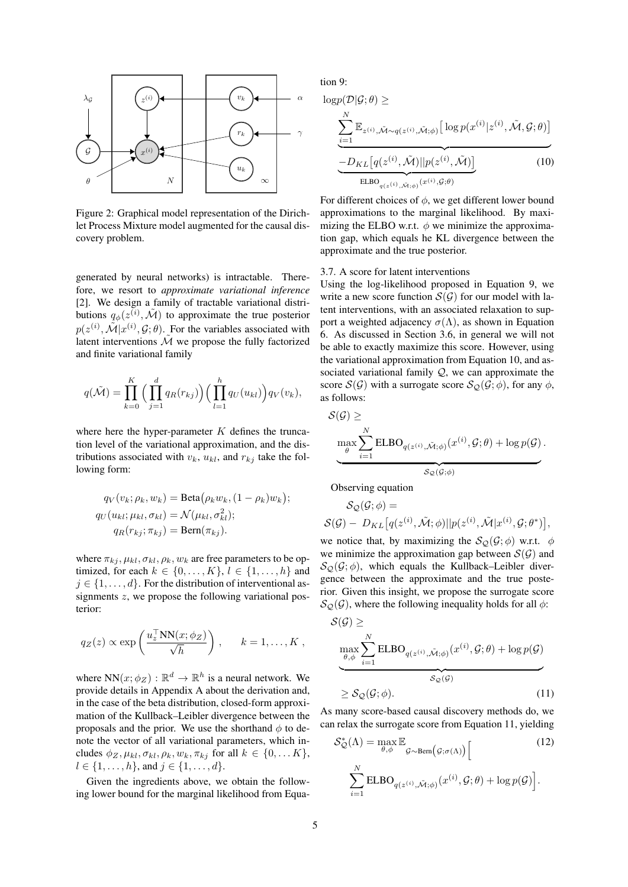

Figure 2: Graphical model representation of the Dirichlet Process Mixture model augmented for the causal discovery problem.

generated by neural networks) is intractable. Therefore, we resort to *approximate variational inference* [2]. We design a family of tractable variational distributions  $q_{\phi}(z^{(i)}, \tilde{\mathcal{M}})$  to approximate the true posterior  $p(z^{(i)}, \tilde{\mathcal{M}} | x^{(i)}, \mathcal{G}; \theta)$ . For the variables associated with latent interventions  $\tilde{\mathcal{M}}$  we propose the fully factorized and finite variational family

$$
q(\tilde{\mathcal{M}}) = \prod_{k=0}^K \Big(\prod_{j=1}^d q_R(r_{kj})\Big) \Big(\prod_{l=1}^h q_U(u_{kl})\Big) q_V(v_k),
$$

where here the hyper-parameter  $K$  defines the truncation level of the variational approximation, and the distributions associated with  $v_k$ ,  $u_{kl}$ , and  $r_{ki}$  take the following form:

$$
q_V(v_k; \rho_k, w_k) = \text{Beta}(\rho_k w_k, (1 - \rho_k) w_k);
$$
  
\n
$$
q_U(u_{kl}; \mu_{kl}, \sigma_{kl}) = \mathcal{N}(\mu_{kl}, \sigma_{kl}^2);
$$
  
\n
$$
q_R(r_{kj}; \pi_{kj}) = \text{Bern}(\pi_{kj}).
$$

where  $\pi_{ki}$ ,  $\mu_{kl}$ ,  $\sigma_{kl}$ ,  $\rho_k$ ,  $w_k$  are free parameters to be optimized, for each  $k \in \{0, \ldots, K\}, l \in \{1, \ldots, h\}$  and  $j \in \{1, \ldots, d\}$ . For the distribution of interventional assignments  $z$ , we propose the following variational posterior:

$$
q_Z(z) \propto \exp\left(\frac{u_z^{\top} NN(x; \phi_Z)}{\sqrt{h}}\right), \quad k = 1, ..., K
$$
,

where  $NN(x; \phi_Z) : \mathbb{R}^d \to \mathbb{R}^h$  is a neural network. We provide details in Appendix A about the derivation and, in the case of the beta distribution, closed-form approximation of the Kullback–Leibler divergence between the proposals and the prior. We use the shorthand  $\phi$  to denote the vector of all variational parameters, which includes  $\phi_Z, \mu_{kl}, \sigma_{kl}, \rho_k, w_k, \pi_{kj}$  for all  $k \in \{0, \dots K\},$  $l \in \{1, \ldots, h\}$ , and  $j \in \{1, \ldots, d\}$ .

Given the ingredients above, we obtain the following lower bound for the marginal likelihood from Equation 9:

$$
\log p(\mathcal{D}|\mathcal{G};\theta) \ge
$$
\n
$$
\underbrace{\sum_{i=1}^{N} \mathbb{E}_{z^{(i)}, \tilde{\mathcal{M}} \sim q(z^{(i)}, \tilde{\mathcal{M}}; \phi)} \left[ \log p(x^{(i)}|z^{(i)}, \tilde{\mathcal{M}}, \mathcal{G}; \theta) \right]}_{\text{ELBO}_{q(z^{(i)}, \tilde{\mathcal{M}}; \phi)} (x^{(i)}, \tilde{\mathcal{G}}; \theta)} \tag{10}
$$

1

For different choices of  $\phi$ , we get different lower bound approximations to the marginal likelihood. By maximizing the ELBO w.r.t.  $\phi$  we minimize the approximation gap, which equals he KL divergence between the approximate and the true posterior.

#### 3.7. A score for latent interventions

Using the log-likelihood proposed in Equation 9, we write a new score function  $S(G)$  for our model with latent interventions, with an associated relaxation to support a weighted adjacency  $\sigma(\Lambda)$ , as shown in Equation 6. As discussed in Section 3.6, in general we will not be able to exactly maximize this score. However, using the variational approximation from Equation 10, and associated variational family  $Q$ , we can approximate the score  $S(G)$  with a surrogate score  $S_Q(G; \phi)$ , for any  $\phi$ , as follows:

$$
\mathcal{S}(\mathcal{G}) \ge \underbrace{\max_{\theta} \sum_{i=1}^{N} \text{ELBO}_{q(z^{(i)}, \tilde{\mathcal{M}}, \phi)}(x^{(i)}, \mathcal{G}; \theta) + \log p(\mathcal{G})}_{\mathcal{S}_{\mathcal{Q}}(\mathcal{G}; \phi)}.
$$

Observing equation

$$
\mathcal{S}_{\mathcal{Q}}(\mathcal{G};\phi) =
$$
  

$$
\mathcal{S}(\mathcal{G}) - D_{KL}[q(z^{(i)}, \tilde{\mathcal{M}}; \phi)||p(z^{(i)}, \tilde{\mathcal{M}}|x^{(i)}, \mathcal{G}; \theta^*)],
$$

we notice that, by maximizing the  $\mathcal{S}_{\mathcal{O}}(\mathcal{G}; \phi)$  w.r.t.  $\phi$ we minimize the approximation gap between  $S(G)$  and  $S_{\mathcal{O}}(\mathcal{G}; \phi)$ , which equals the Kullback–Leibler divergence between the approximate and the true posterior. Given this insight, we propose the surrogate score  $\mathcal{S}_{\mathcal{Q}}(\mathcal{G})$ , where the following inequality holds for all  $\phi$ :

$$
\mathcal{S}(\mathcal{G}) \ge \max_{\substack{\theta, \phi \\ \theta, \phi}} \sum_{i=1}^{N} \text{ELBO}_{q(z^{(i)}, \tilde{\mathcal{M}}; \phi)}(x^{(i)}, \mathcal{G}; \theta) + \log p(\mathcal{G})
$$
\n
$$
\ge \mathcal{S}_{\mathcal{Q}}(\mathcal{G}; \phi).
$$
\n(11)

As many score-based causal discovery methods do, we can relax the surrogate score from Equation 11, yielding

$$
\mathcal{S}_{\mathcal{Q}}^{*}(\Lambda) = \max_{\theta, \phi} \mathbb{E}_{\mathcal{G} \sim \text{Bern}\left(\mathcal{G}; \sigma(\Lambda)\right)} \left[ (12) \right]
$$
\n
$$
\sum_{i=1}^{N} \text{ELBO}_{q(z^{(i)}, \tilde{\mathcal{M}}; \phi)}(x^{(i)}, \mathcal{G}; \theta) + \log p(\mathcal{G}) \right].
$$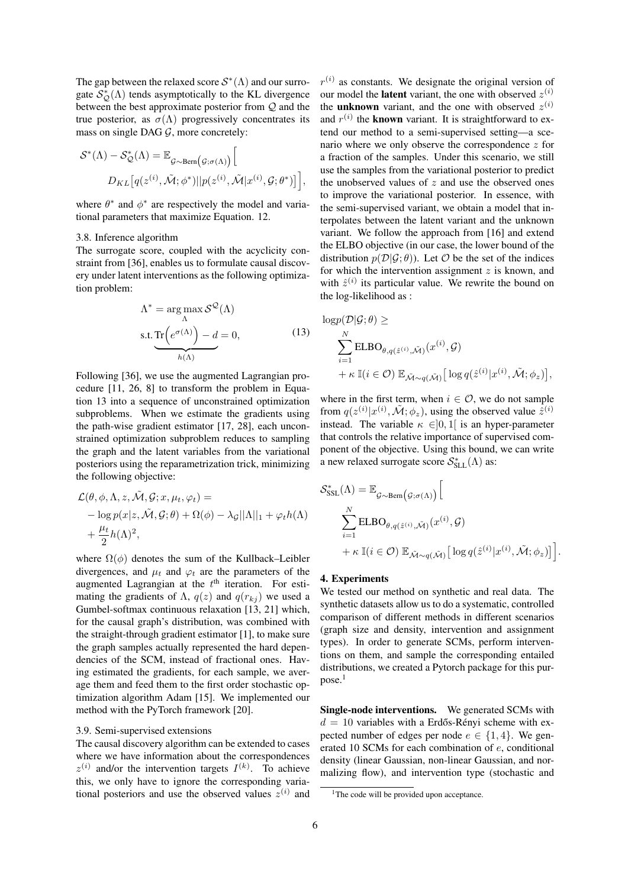The gap between the relaxed score  $S^*(\Lambda)$  and our surrogate  $\mathcal{S}_{\mathcal{Q}}^*(\Lambda)$  tends asymptotically to the KL divergence between the best approximate posterior from Q and the true posterior, as  $\sigma(\Lambda)$  progressively concentrates its mass on single DAG  $G$ , more concretely:

$$
\mathcal{S}^*(\Lambda) - \mathcal{S}_{\mathcal{Q}}^*(\Lambda) = \mathbb{E}_{\mathcal{G}\sim \text{Bern}\left(\mathcal{G};\sigma(\Lambda)\right)} \Big[
$$
  

$$
D_{KL}\big[q(z^{(i)}, \tilde{\mathcal{M}}; \phi^*) || p(z^{(i)}, \tilde{\mathcal{M}} | x^{(i)}, \mathcal{G}; \theta^*)\big]\Big],
$$

where  $\theta^*$  and  $\phi^*$  are respectively the model and variational parameters that maximize Equation. 12.

#### 3.8. Inference algorithm

The surrogate score, coupled with the acyclicity constraint from [36], enables us to formulate causal discovery under latent interventions as the following optimization problem:

$$
\Lambda^* = \underset{\Lambda}{\arg \max} S^{\mathcal{Q}}(\Lambda)
$$
  
s.t. 
$$
\underbrace{\text{Tr}(e^{\sigma(\Lambda)}) - d}_{h(\Lambda)} = 0, \tag{13}
$$

Following [36], we use the augmented Lagrangian procedure [11, 26, 8] to transform the problem in Equation 13 into a sequence of unconstrained optimization subproblems. When we estimate the gradients using the path-wise gradient estimator [17, 28], each unconstrained optimization subproblem reduces to sampling the graph and the latent variables from the variational posteriors using the reparametrization trick, minimizing the following objective:

$$
\mathcal{L}(\theta, \phi, \Lambda, z, \tilde{\mathcal{M}}, \mathcal{G}; x, \mu_t, \varphi_t) =
$$
  
- log  $p(x|z, \tilde{\mathcal{M}}, \mathcal{G}; \theta) + \Omega(\phi) - \lambda_{\mathcal{G}} ||\Lambda||_1 + \varphi_t h(\Lambda)$   
+  $\frac{\mu_t}{2} h(\Lambda)^2$ ,

where  $\Omega(\phi)$  denotes the sum of the Kullback–Leibler divergences, and  $\mu_t$  and  $\varphi_t$  are the parameters of the augmented Lagrangian at the  $t<sup>th</sup>$  iteration. For estimating the gradients of  $\Lambda$ ,  $q(z)$  and  $q(r_{ki})$  we used a Gumbel-softmax continuous relaxation [13, 21] which, for the causal graph's distribution, was combined with the straight-through gradient estimator [1], to make sure the graph samples actually represented the hard dependencies of the SCM, instead of fractional ones. Having estimated the gradients, for each sample, we average them and feed them to the first order stochastic optimization algorithm Adam [15]. We implemented our method with the PyTorch framework [20].

# 3.9. Semi-supervised extensions

The causal discovery algorithm can be extended to cases where we have information about the correspondences  $z^{(i)}$  and/or the intervention targets  $I^{(k)}$ . To achieve this, we only have to ignore the corresponding variational posteriors and use the observed values  $z^{(i)}$  and

 $r^{(i)}$  as constants. We designate the original version of our model the **latent** variant, the one with observed  $z^{(i)}$ the **unknown** variant, and the one with observed  $z^{(i)}$ and  $r^{(i)}$  the **known** variant. It is straightforward to extend our method to a semi-supervised setting—a scenario where we only observe the correspondence  $z$  for a fraction of the samples. Under this scenario, we still use the samples from the variational posterior to predict the unobserved values of  $z$  and use the observed ones to improve the variational posterior. In essence, with the semi-supervised variant, we obtain a model that interpolates between the latent variant and the unknown variant. We follow the approach from [16] and extend the ELBO objective (in our case, the lower bound of the distribution  $p(\mathcal{D}|\mathcal{G}; \theta)$ ). Let  $\mathcal O$  be the set of the indices for which the intervention assignment  $z$  is known, and with  $\hat{z}^{(i)}$  its particular value. We rewrite the bound on the log-likelihood as :

$$
\log p(\mathcal{D}|\mathcal{G};\theta) \ge
$$
\n
$$
\sum_{i=1}^{N} \text{ELBO}_{\theta, q(\hat{z}^{(i)}, \tilde{\mathcal{M}})}(x^{(i)}, \mathcal{G})
$$
\n
$$
+ \kappa \mathbb{I}(i \in \mathcal{O}) \mathbb{E}_{\tilde{\mathcal{M}} \sim q(\tilde{\mathcal{M}})} \big[ \log q(\hat{z}^{(i)} | x^{(i)}, \tilde{\mathcal{M}}; \phi_z) \big],
$$

where in the first term, when  $i \in \mathcal{O}$ , we do not sample from  $q(z^{(i)}|x^{(i)}, \tilde{\mathcal{M}}; \phi_z)$ , using the observed value  $\hat{z}^{(i)}$ instead. The variable  $\kappa \in ]0,1[$  is an hyper-parameter that controls the relative importance of supervised component of the objective. Using this bound, we can write a new relaxed surrogate score  $\mathcal{S}^*_{\text{SLL}}(\Lambda)$  as:

$$
\mathcal{S}_{\text{SSL}}^{*}(\Lambda) = \mathbb{E}_{\mathcal{G} \sim \text{Bern}\left(\mathcal{G}; \sigma(\Lambda)\right)} \Big[
$$
  

$$
\sum_{i=1}^{N} \text{ELBO}_{\theta, q(\hat{z}^{(i)}, \tilde{\mathcal{M}})}(x^{(i)}, \mathcal{G})
$$
  

$$
+ \kappa \mathbb{I}(i \in \mathcal{O}) \mathbb{E}_{\tilde{\mathcal{M}} \sim q(\tilde{\mathcal{M}})} \Big[ \log q(\hat{z}^{(i)} | x^{(i)}, \tilde{\mathcal{M}}; \phi_z) \Big] \Big].
$$

#### 4. Experiments

We tested our method on synthetic and real data. The synthetic datasets allow us to do a systematic, controlled comparison of different methods in different scenarios (graph size and density, intervention and assignment types). In order to generate SCMs, perform interventions on them, and sample the corresponding entailed distributions, we created a Pytorch package for this purpose.<sup>1</sup>

Single-node interventions. We generated SCMs with  $d = 10$  variables with a Erdős-Rényi scheme with expected number of edges per node  $e \in \{1, 4\}$ . We generated 10 SCMs for each combination of e, conditional density (linear Gaussian, non-linear Gaussian, and normalizing flow), and intervention type (stochastic and

<sup>&</sup>lt;sup>1</sup>The code will be provided upon acceptance.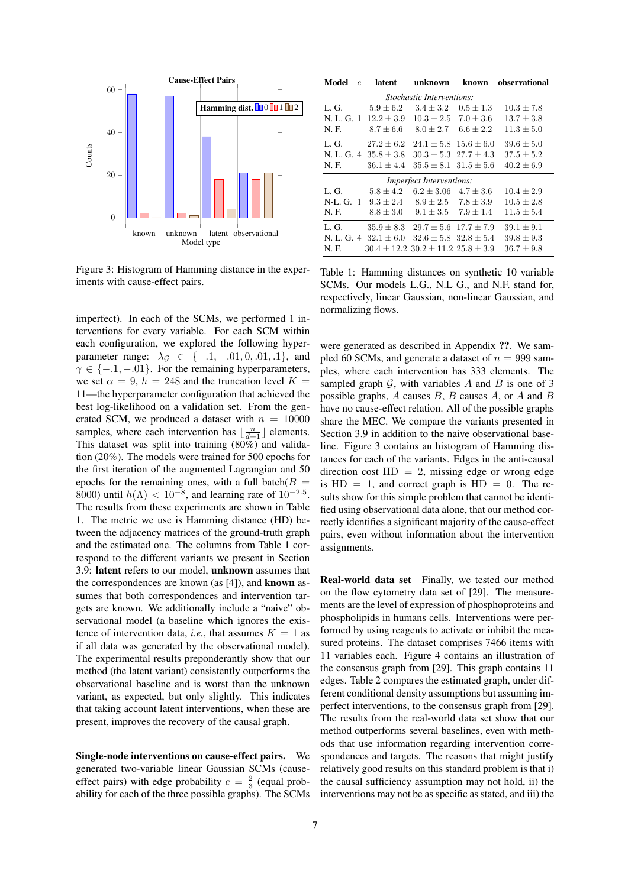

Figure 3: Histogram of Hamming distance in the experiments with cause-effect pairs.

imperfect). In each of the SCMs, we performed 1 interventions for every variable. For each SCM within each configuration, we explored the following hyperparameter range:  $\lambda_G \in \{-1, -0.01, 0, 0.01, 0.1\}$ , and  $\gamma \in \{-1, -0.01\}$ . For the remaining hyperparameters, we set  $\alpha = 9$ ,  $h = 248$  and the truncation level  $K =$ 11—the hyperparameter configuration that achieved the best log-likelihood on a validation set. From the generated SCM, we produced a dataset with  $n = 10000$ samples, where each intervention has  $\lfloor \frac{n}{d+1} \rfloor$  elements. This dataset was split into training (80%) and validation (20%). The models were trained for 500 epochs for the first iteration of the augmented Lagrangian and 50 epochs for the remaining ones, with a full batch( $B =$ 8000) until  $h(\Lambda) < 10^{-8}$ , and learning rate of  $10^{-2.5}$ . The results from these experiments are shown in Table 1. The metric we use is Hamming distance (HD) between the adjacency matrices of the ground-truth graph and the estimated one. The columns from Table 1 correspond to the different variants we present in Section 3.9: latent refers to our model, unknown assumes that the correspondences are known (as [4]), and known assumes that both correspondences and intervention targets are known. We additionally include a "naive" observational model (a baseline which ignores the existence of intervention data, *i.e.*, that assumes  $K = 1$  as if all data was generated by the observational model). The experimental results preponderantly show that our method (the latent variant) consistently outperforms the observational baseline and is worst than the unknown variant, as expected, but only slightly. This indicates that taking account latent interventions, when these are present, improves the recovery of the causal graph.

Single-node interventions on cause-effect pairs. We generated two-variable linear Gaussian SCMs (causeeffect pairs) with edge probability  $e = \frac{2}{3}$  (equal probability for each of the three possible graphs). The SCMs

| Model<br>$\epsilon$              | latent                    | unknown                                                        | known         | observational  |  |  |  |  |  |  |
|----------------------------------|---------------------------|----------------------------------------------------------------|---------------|----------------|--|--|--|--|--|--|
| <i>Stochastic Interventions:</i> |                           |                                                                |               |                |  |  |  |  |  |  |
| L.G.                             | $5.9 + 6.2$               | $3.4 \pm 3.2$                                                  | $0.5 + 1.3$   | $10.3 + 7.8$   |  |  |  |  |  |  |
|                                  | N. L. G. 1 $12.2 \pm 3.9$ | $10.3 + 2.5$                                                   | $7.0 \pm 3.6$ | $13.7 \pm 3.8$ |  |  |  |  |  |  |
| N. F.                            |                           | $8.7 \pm 6.6$ $8.0 \pm 2.7$ $6.6 \pm 2.2$                      |               | $11.3 \pm 5.0$ |  |  |  |  |  |  |
| L.G.                             |                           | $27.2 \pm 6.2$ $24.1 \pm 5.8$ $15.6 \pm 6.0$                   |               | $39.6 \pm 5.0$ |  |  |  |  |  |  |
|                                  | N. L. G. $4\;35.8+3.8$    | $30.3 + 5.3$ $27.7 + 4.3$                                      |               | $37.5 \pm 5.2$ |  |  |  |  |  |  |
| N. F.                            | $36.1 \pm 4.4$            | $35.5 + 8.1$ $31.5 + 5.6$                                      |               | $40.2 \pm 6.9$ |  |  |  |  |  |  |
| <i>Imperfect Interventions:</i>  |                           |                                                                |               |                |  |  |  |  |  |  |
| L.G.                             |                           | $5.8 \pm 4.2$ $6.2 \pm 3.06$ $4.7 \pm 3.6$                     |               | $10.4 \pm 2.9$ |  |  |  |  |  |  |
| $N-L$ G. 1                       |                           | $9.3 \pm 2.4$ $8.9 \pm 2.5$ $7.8 \pm 3.9$                      |               | $10.5 \pm 2.8$ |  |  |  |  |  |  |
| N. F.                            | $8.8 \pm 3.0$             | $9.1 \pm 3.5$ $7.9 \pm 1.4$                                    |               | $11.5 \pm 5.4$ |  |  |  |  |  |  |
| L.G.                             |                           | $35.9 \pm 8.3$ $29.7 \pm 5.6$ $17.7 \pm 7.9$                   |               | $39.1 \pm 9.1$ |  |  |  |  |  |  |
|                                  |                           | N. L. G. $4\quad 32.1 + 6.0 \quad 32.6 + 5.8 \quad 32.8 + 5.4$ |               | $39.8 \pm 9.3$ |  |  |  |  |  |  |
| N. F.                            |                           | $30.4 + 12.2$ $30.2 + 11.2$ $25.8 + 3.9$                       |               | $36.7 + 9.8$   |  |  |  |  |  |  |

Table 1: Hamming distances on synthetic 10 variable SCMs. Our models L.G., N.L G., and N.F. stand for, respectively, linear Gaussian, non-linear Gaussian, and normalizing flows.

were generated as described in Appendix ??. We sampled 60 SCMs, and generate a dataset of  $n = 999$  samples, where each intervention has 333 elements. The sampled graph  $G$ , with variables A and B is one of 3 possible graphs,  $A$  causes  $B$ ,  $B$  causes  $A$ , or  $A$  and  $B$ have no cause-effect relation. All of the possible graphs share the MEC. We compare the variants presented in Section 3.9 in addition to the naive observational baseline. Figure 3 contains an histogram of Hamming distances for each of the variants. Edges in the anti-causal direction cost  $HD = 2$ , missing edge or wrong edge is  $HD = 1$ , and correct graph is  $HD = 0$ . The results show for this simple problem that cannot be identified using observational data alone, that our method correctly identifies a significant majority of the cause-effect pairs, even without information about the intervention assignments.

Real-world data set Finally, we tested our method on the flow cytometry data set of [29]. The measurements are the level of expression of phosphoproteins and phospholipids in humans cells. Interventions were performed by using reagents to activate or inhibit the measured proteins. The dataset comprises 7466 items with 11 variables each. Figure 4 contains an illustration of the consensus graph from [29]. This graph contains 11 edges. Table 2 compares the estimated graph, under different conditional density assumptions but assuming imperfect interventions, to the consensus graph from [29]. The results from the real-world data set show that our method outperforms several baselines, even with methods that use information regarding intervention correspondences and targets. The reasons that might justify relatively good results on this standard problem is that i) the causal sufficiency assumption may not hold, ii) the interventions may not be as specific as stated, and iii) the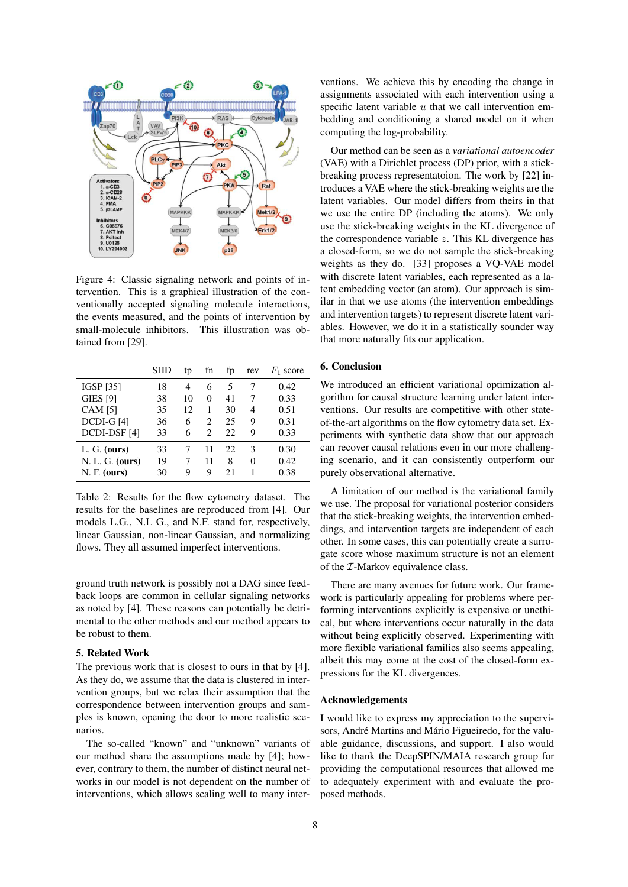

Figure 4: Classic signaling network and points of intervention. This is a graphical illustration of the conventionally accepted signaling molecule interactions, the events measured, and the points of intervention by small-molecule inhibitors. This illustration was obtained from [29].

|                   | SHD | tp | fn             | fp  | rev | $F_1$ score |
|-------------------|-----|----|----------------|-----|-----|-------------|
| <b>IGSP [35]</b>  | 18  | 4  | 6              | 5   |     | 0.42        |
| <b>GIES [9]</b>   | 38  | 10 | 0              | 41  | 7   | 0.33        |
| <b>CAM</b> [5]    | 35  | 12 |                | 30  | 4   | 0.51        |
| $DCDI-G[4]$       | 36  | 6  | $\mathfrak{D}$ | 25  | 9   | 0.31        |
| DCDI-DSF [4]      | 33  | 6  | 2              | 22  | 9   | 0.33        |
| $L. G.$ (ours)    | 33  | 7  | 11             | 22. | 3   | 0.30        |
| $N. L. G.$ (ours) | 19  | 7  | 11             | 8   | 0   | 0.42        |
| $N. F.$ (ours)    | 30  | 9  | Q              | 21  |     | 0.38        |

Table 2: Results for the flow cytometry dataset. The results for the baselines are reproduced from [4]. Our models L.G., N.L G., and N.F. stand for, respectively, linear Gaussian, non-linear Gaussian, and normalizing flows. They all assumed imperfect interventions.

ground truth network is possibly not a DAG since feedback loops are common in cellular signaling networks as noted by [4]. These reasons can potentially be detrimental to the other methods and our method appears to be robust to them.

# 5. Related Work

The previous work that is closest to ours in that by [4]. As they do, we assume that the data is clustered in intervention groups, but we relax their assumption that the correspondence between intervention groups and samples is known, opening the door to more realistic scenarios.

The so-called "known" and "unknown" variants of our method share the assumptions made by [4]; however, contrary to them, the number of distinct neural networks in our model is not dependent on the number of interventions, which allows scaling well to many interventions. We achieve this by encoding the change in assignments associated with each intervention using a specific latent variable  $u$  that we call intervention embedding and conditioning a shared model on it when computing the log-probability.

Our method can be seen as a *variational autoencoder* (VAE) with a Dirichlet process (DP) prior, with a stickbreaking process representatoion. The work by [22] introduces a VAE where the stick-breaking weights are the latent variables. Our model differs from theirs in that we use the entire DP (including the atoms). We only use the stick-breaking weights in the KL divergence of the correspondence variable  $z$ . This KL divergence has a closed-form, so we do not sample the stick-breaking weights as they do. [33] proposes a VQ-VAE model with discrete latent variables, each represented as a latent embedding vector (an atom). Our approach is similar in that we use atoms (the intervention embeddings and intervention targets) to represent discrete latent variables. However, we do it in a statistically sounder way that more naturally fits our application.

# 6. Conclusion

We introduced an efficient variational optimization algorithm for causal structure learning under latent interventions. Our results are competitive with other stateof-the-art algorithms on the flow cytometry data set. Experiments with synthetic data show that our approach can recover causal relations even in our more challenging scenario, and it can consistently outperform our purely observational alternative.

A limitation of our method is the variational family we use. The proposal for variational posterior considers that the stick-breaking weights, the intervention embeddings, and intervention targets are independent of each other. In some cases, this can potentially create a surrogate score whose maximum structure is not an element of the  $I$ -Markov equivalence class.

There are many avenues for future work. Our framework is particularly appealing for problems where performing interventions explicitly is expensive or unethical, but where interventions occur naturally in the data without being explicitly observed. Experimenting with more flexible variational families also seems appealing, albeit this may come at the cost of the closed-form expressions for the KL divergences.

#### Acknowledgements

I would like to express my appreciation to the supervisors, André Martins and Mário Figueiredo, for the valuable guidance, discussions, and support. I also would like to thank the DeepSPIN/MAIA research group for providing the computational resources that allowed me to adequately experiment with and evaluate the proposed methods.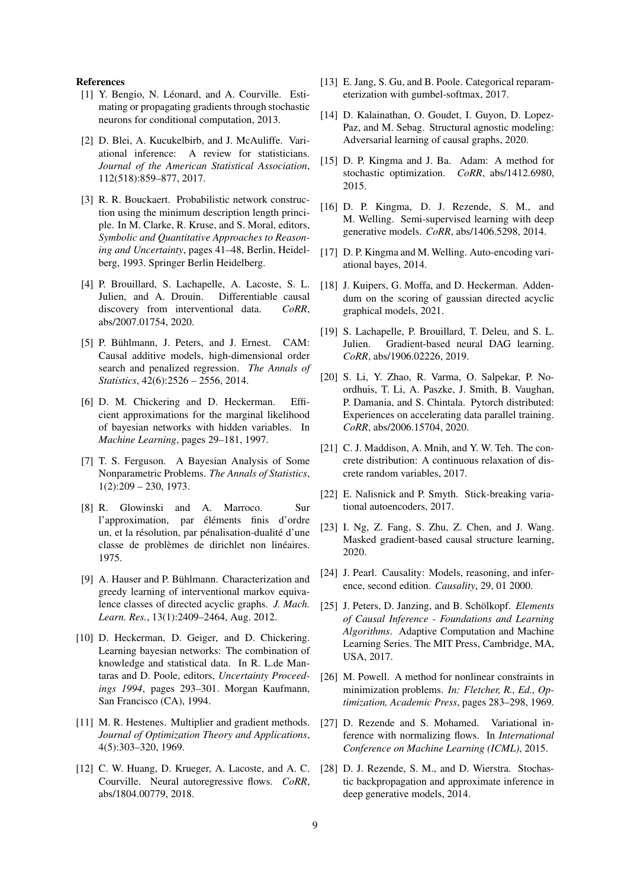#### References

- [1] Y. Bengio, N. Léonard, and A. Courville. Estimating or propagating gradients through stochastic neurons for conditional computation, 2013.
- [2] D. Blei, A. Kucukelbirb, and J. McAuliffe. Variational inference: A review for statisticians. *Journal of the American Statistical Association*, 112(518):859–877, 2017.
- [3] R. R. Bouckaert. Probabilistic network construction using the minimum description length principle. In M. Clarke, R. Kruse, and S. Moral, editors, *Symbolic and Quantitative Approaches to Reasoning and Uncertainty*, pages 41–48, Berlin, Heidelberg, 1993. Springer Berlin Heidelberg.
- [4] P. Brouillard, S. Lachapelle, A. Lacoste, S. L. Julien, and A. Drouin. Differentiable causal discovery from interventional data. *CoRR*, abs/2007.01754, 2020.
- [5] P. Bühlmann, J. Peters, and J. Ernest. CAM: Causal additive models, high-dimensional order search and penalized regression. *The Annals of Statistics*, 42(6):2526 – 2556, 2014.
- [6] D. M. Chickering and D. Heckerman. Efficient approximations for the marginal likelihood of bayesian networks with hidden variables. In *Machine Learning*, pages 29–181, 1997.
- [7] T. S. Ferguson. A Bayesian Analysis of Some Nonparametric Problems. *The Annals of Statistics*, 1(2):209 – 230, 1973.
- [8] R. Glowinski and A. Marroco. Sur l'approximation, par éléments finis d'ordre un, et la résolution, par pénalisation-dualité d'une classe de problèmes de dirichlet non linéaires. 1975.
- [9] A. Hauser and P. Bühlmann. Characterization and greedy learning of interventional markov equivalence classes of directed acyclic graphs. *J. Mach. Learn. Res.*, 13(1):2409–2464, Aug. 2012.
- [10] D. Heckerman, D. Geiger, and D. Chickering. Learning bayesian networks: The combination of knowledge and statistical data. In R. L.de Mantaras and D. Poole, editors, *Uncertainty Proceedings 1994*, pages 293–301. Morgan Kaufmann, San Francisco (CA), 1994.
- [11] M. R. Hestenes. Multiplier and gradient methods. *Journal of Optimization Theory and Applications*, 4(5):303–320, 1969.
- [12] C. W. Huang, D. Krueger, A. Lacoste, and A. C. Courville. Neural autoregressive flows. *CoRR*, abs/1804.00779, 2018.
- [13] E. Jang, S. Gu, and B. Poole. Categorical reparameterization with gumbel-softmax, 2017.
- [14] D. Kalainathan, O. Goudet, I. Guyon, D. Lopez-Paz, and M. Sebag. Structural agnostic modeling: Adversarial learning of causal graphs, 2020.
- [15] D. P. Kingma and J. Ba. Adam: A method for stochastic optimization. *CoRR*, abs/1412.6980, 2015.
- [16] D. P. Kingma, D. J. Rezende, S. M., and M. Welling. Semi-supervised learning with deep generative models. *CoRR*, abs/1406.5298, 2014.
- [17] D. P. Kingma and M. Welling. Auto-encoding variational bayes, 2014.
- [18] J. Kuipers, G. Moffa, and D. Heckerman. Addendum on the scoring of gaussian directed acyclic graphical models, 2021.
- [19] S. Lachapelle, P. Brouillard, T. Deleu, and S. L. Julien. Gradient-based neural DAG learning. *CoRR*, abs/1906.02226, 2019.
- [20] S. Li, Y. Zhao, R. Varma, O. Salpekar, P. Noordhuis, T. Li, A. Paszke, J. Smith, B. Vaughan, P. Damania, and S. Chintala. Pytorch distributed: Experiences on accelerating data parallel training. *CoRR*, abs/2006.15704, 2020.
- [21] C. J. Maddison, A. Mnih, and Y. W. Teh. The concrete distribution: A continuous relaxation of discrete random variables, 2017.
- [22] E. Nalisnick and P. Smyth. Stick-breaking variational autoencoders, 2017.
- [23] I. Ng, Z. Fang, S. Zhu, Z. Chen, and J. Wang. Masked gradient-based causal structure learning, 2020.
- [24] J. Pearl. Causality: Models, reasoning, and inference, second edition. *Causality*, 29, 01 2000.
- [25] J. Peters, D. Janzing, and B. Schölkopf. *Elements of Causal Inference - Foundations and Learning Algorithms*. Adaptive Computation and Machine Learning Series. The MIT Press, Cambridge, MA, USA, 2017.
- [26] M. Powell. A method for nonlinear constraints in minimization problems. *In: Fletcher, R., Ed., Optimization, Academic Press*, pages 283–298, 1969.
- [27] D. Rezende and S. Mohamed. Variational inference with normalizing flows. In *International Conference on Machine Learning (ICML)*, 2015.
- [28] D. J. Rezende, S. M., and D. Wierstra. Stochastic backpropagation and approximate inference in deep generative models, 2014.